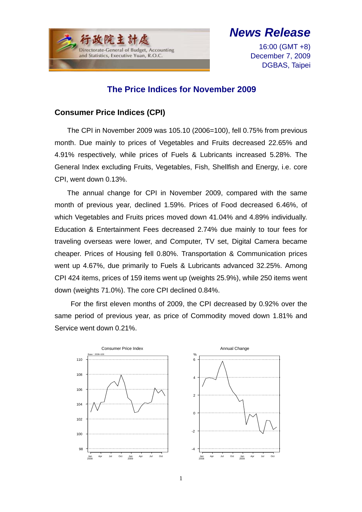

# *News Release*

16:00 (GMT +8) December 7, 2009 DGBAS, Taipei

## **The Price Indices for November 2009**

## **Consumer Price Indices (CPI)**

The CPI in November 2009 was 105.10 (2006=100), fell 0.75% from previous month. Due mainly to prices of Vegetables and Fruits decreased 22.65% and 4.91% respectively, while prices of Fuels & Lubricants increased 5.28%. The General Index excluding Fruits, Vegetables, Fish, Shellfish and Energy, i.e. core CPI, went down 0.13%.

The annual change for CPI in November 2009, compared with the same month of previous year, declined 1.59%. Prices of Food decreased 6.46%, of which Vegetables and Fruits prices moved down 41.04% and 4.89% individually. Education & Entertainment Fees decreased 2.74% due mainly to tour fees for traveling overseas were lower, and Computer, TV set, Digital Camera became cheaper. Prices of Housing fell 0.80%. Transportation & Communication prices went up 4.67%, due primarily to Fuels & Lubricants advanced 32.25%. Among CPI 424 items, prices of 159 items went up (weights 25.9%), while 250 items went down (weights 71.0%). The core CPI declined 0.84%.

 For the first eleven months of 2009, the CPI decreased by 0.92% over the same period of previous year, as price of Commodity moved down 1.81% and Service went down 0.21%.

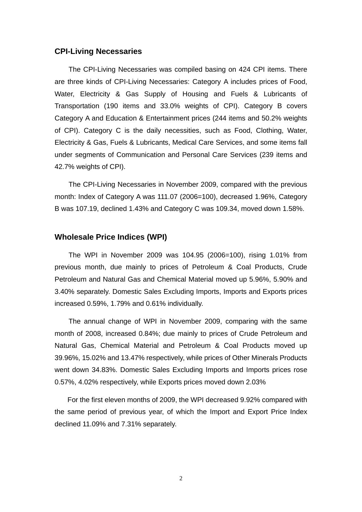#### **CPI-Living Necessaries**

The CPI-Living Necessaries was compiled basing on 424 CPI items. There are three kinds of CPI-Living Necessaries: Category A includes prices of Food, Water, Electricity & Gas Supply of Housing and Fuels & Lubricants of Transportation (190 items and 33.0% weights of CPI). Category B covers Category A and Education & Entertainment prices (244 items and 50.2% weights of CPI). Category C is the daily necessities, such as Food, Clothing, Water, Electricity & Gas, Fuels & Lubricants, Medical Care Services, and some items fall under segments of Communication and Personal Care Services (239 items and 42.7% weights of CPI).

The CPI-Living Necessaries in November 2009, compared with the previous month: Index of Category A was 111.07 (2006=100), decreased 1.96%, Category B was 107.19, declined 1.43% and Category C was 109.34, moved down 1.58%.

### **Wholesale Price Indices (WPI)**

The WPI in November 2009 was 104.95 (2006=100), rising 1.01% from previous month, due mainly to prices of Petroleum & Coal Products, Crude Petroleum and Natural Gas and Chemical Material moved up 5.96%, 5.90% and 3.40% separately. Domestic Sales Excluding Imports, Imports and Exports prices increased 0.59%, 1.79% and 0.61% individually.

The annual change of WPI in November 2009, comparing with the same month of 2008, increased 0.84%; due mainly to prices of Crude Petroleum and Natural Gas, Chemical Material and Petroleum & Coal Products moved up 39.96%, 15.02% and 13.47% respectively, while prices of Other Minerals Products went down 34.83%. Domestic Sales Excluding Imports and Imports prices rose 0.57%, 4.02% respectively, while Exports prices moved down 2.03%

For the first eleven months of 2009, the WPI decreased 9.92% compared with the same period of previous year, of which the Import and Export Price Index declined 11.09% and 7.31% separately.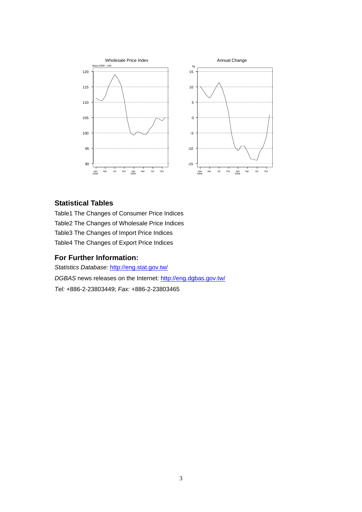

#### **Statistical Tables**

Table1 The Changes of Consumer Price Indices Table2 The Changes of Wholesale Price Indices Table3 The Changes of Import Price Indices Table4 The Changes of Export Price Indices

#### **For Further Information:**

*Statistics Database:* http://eng.stat.gov.tw/ *DGBAS* news releases on the Internet: http://eng.dgbas.gov.tw/ *Tel:* +886-2-23803449; *Fax:* +886-2-23803465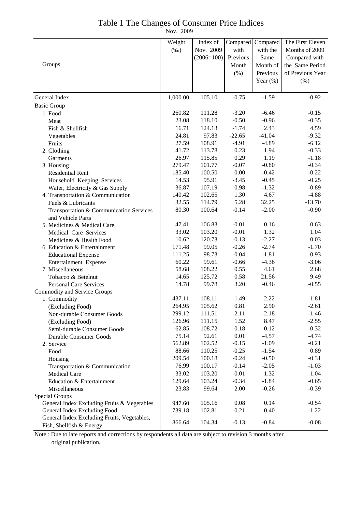#### Table 1 The Changes of Consumer Price Indices

Nov. 2009

|                                             | Weight           | Index of     | Compared | Compared        | The First Eleven   |
|---------------------------------------------|------------------|--------------|----------|-----------------|--------------------|
|                                             | $(\%0)$          | Nov. 2009    | with     | with the        | Months of 2009     |
|                                             |                  | $(2006=100)$ | Previous | Same            | Compared with      |
| Groups                                      |                  |              | Month    | Month of        | the Same Period    |
|                                             |                  |              | $(\% )$  | Previous        | of Previous Year   |
|                                             |                  |              |          | Year $(\% )$    | (%)                |
|                                             |                  |              |          |                 |                    |
| General Index                               | 1,000.00         | 105.10       | $-0.75$  | $-1.59$         | $-0.92$            |
| <b>Basic Group</b>                          |                  |              |          |                 |                    |
| 1. Food                                     | 260.82           | 111.28       | $-3.20$  | $-6.46$         | $-0.15$            |
| Meat                                        | 23.08            | 118.10       | $-0.50$  | $-0.96$         | $-0.35$            |
| Fish & Shellfish                            | 16.71            | 124.13       | $-1.74$  | 2.43            | 4.59               |
| Vegetables                                  | 24.81            | 97.83        | $-22.65$ | $-41.04$        | $-9.32$            |
| Fruits                                      | 27.59            | 108.91       | $-4.91$  | $-4.89$         | $-6.12$            |
| 2. Clothing                                 | 41.72            | 113.78       | 0.23     | 1.94            | $-0.33$            |
| Garments                                    | 26.97            | 115.85       | 0.29     | 1.19            | $-1.18$            |
| 3. Housing                                  | 279.47           | 101.77       | $-0.07$  | $-0.80$         | $-0.34$            |
| <b>Residential Rent</b>                     | 185.40           | 100.50       | 0.00     | $-0.42$         | $-0.22$            |
| Household Keeping Services                  | 14.53            | 95.91        | $-3.45$  | $-0.45$         | $-0.25$            |
| Water, Electricity & Gas Supply             | 36.87            | 107.19       | 0.98     | $-1.32$         | $-0.89$            |
| 4. Transportation & Communication           | 140.42           | 102.65       | 1.30     | 4.67            | $-4.88$            |
| Fuels & Lubricants                          | 32.55            | 114.79       | 5.28     | 32.25           | $-13.70$           |
| Transportation & Communication Services     | 80.30            | 100.64       | $-0.14$  | $-2.00$         | $-0.90$            |
| and Vehicle Parts                           |                  |              |          |                 |                    |
| 5. Medicines & Medical Care                 | 47.41            | 106.83       | $-0.01$  | 0.16            | 0.63               |
| Medical Care Services                       | 33.02            | 103.20       | $-0.01$  | 1.32            | 1.04               |
| Medicines & Health Food                     | 10.62            | 120.73       | $-0.13$  | $-2.27$         | 0.03               |
| 6. Education & Entertainment                | 171.48           | 99.05        | $-0.26$  | $-2.74$         | $-1.70$            |
| <b>Educational Expense</b>                  | 111.25           | 98.73        | $-0.04$  | $-1.81$         | $-0.93$            |
| Entertainment Expense                       | 60.22            | 99.61        | $-0.66$  | $-4.36$         | $-3.06$            |
| 7. Miscellaneous                            | 58.68            | 108.22       | 0.55     | 4.61            | 2.68               |
| Tobacco & Betelnut                          | 14.65            | 125.72       | 0.58     | 21.56           | 9.49               |
| <b>Personal Care Services</b>               | 14.78            | 99.78        | 3.20     | $-0.46$         | $-0.55$            |
| Commodity and Service Groups                | 437.11           | 108.11       | $-1.49$  | $-2.22$         | $-1.81$            |
| 1. Commodity                                |                  | 105.62       | 0.81     | 2.90            | $-2.61$            |
| (Excluding Food)                            | 264.95<br>299.12 | 111.51       | $-2.11$  |                 |                    |
| Non-durable Consumer Goods                  | 126.96           | 111.15       | 1.52     | $-2.18$<br>8.47 | $-1.46$<br>$-2.55$ |
| (Excluding Food)                            | 62.85            | 108.72       | 0.18     | 0.12            | $-0.32$            |
| Semi-durable Consumer Goods                 | 75.14            | 92.61        | $0.01\,$ | $-4.57$         | $-4.74$            |
| <b>Durable Consumer Goods</b><br>2. Service | 562.89           | 102.52       | $-0.15$  | $-1.09$         | $-0.21$            |
| Food                                        | 88.66            | 110.25       | $-0.25$  | $-1.54$         | 0.89               |
| Housing                                     | 209.54           | 100.18       | $-0.24$  | $-0.50$         | $-0.31$            |
| Transportation & Communication              | 76.99            | 100.17       | $-0.14$  | $-2.05$         | $-1.03$            |
| Medical Care                                | 33.02            | 103.20       | $-0.01$  | 1.32            | 1.04               |
| Education & Entertainment                   | 129.64           | 103.24       | $-0.34$  | $-1.84$         | $-0.65$            |
| Miscellaneous                               | 23.83            | 99.64        | 2.00     | $-0.26$         | $-0.39$            |
| Special Groups                              |                  |              |          |                 |                    |
| General Index Excluding Fruits & Vegetables | 947.60           | 105.16       | 0.08     | 0.14            | $-0.54$            |
| General Index Excluding Food                | 739.18           | 102.81       | 0.21     | 0.40            | $-1.22$            |
| General Index Excluding Fruits, Vegetables, |                  |              |          |                 |                    |
| Fish, Shellfish & Energy                    | 866.64           | 104.34       | $-0.13$  | $-0.84$         | $-0.08$            |

Note : Due to late reports and corrections by respondents all data are subject to revision 3 months after original publication.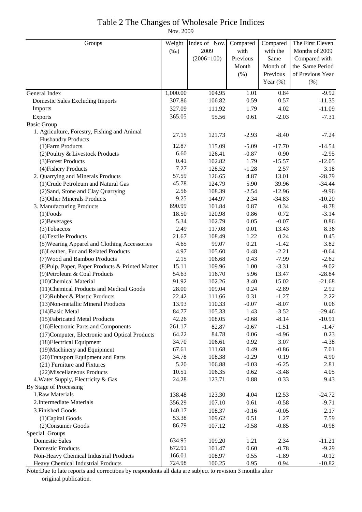### Table 2 The Changes of Wholesale Price Indices

Nov. 2009

| Groups                                           | Weight   | Index of Nov. | Compared | Compared    | The First Eleven |
|--------------------------------------------------|----------|---------------|----------|-------------|------------------|
|                                                  | $(\%0)$  | 2009          | with     | with the    | Months of 2009   |
|                                                  |          | $(2006=100)$  | Previous | Same        | Compared with    |
|                                                  |          |               | Month    | Month of    | the Same Period  |
|                                                  |          |               | (%)      | Previous    | of Previous Year |
|                                                  |          |               |          | Year $(\%)$ | (% )             |
| General Index                                    | 1,000.00 | 104.95        | 1.01     | 0.84        | $-9.92$          |
| <b>Domestic Sales Excluding Imports</b>          | 307.86   | 106.82        | 0.59     | 0.57        | $-11.35$         |
| Imports                                          | 327.09   | 111.92        | 1.79     | 4.02        | $-11.09$         |
| Exports                                          | 365.05   | 95.56         | 0.61     | $-2.03$     | $-7.31$          |
| <b>Basic Group</b>                               |          |               |          |             |                  |
| 1. Agriculture, Forestry, Fishing and Animal     | 27.15    | 121.73        | $-2.93$  | $-8.40$     | $-7.24$          |
| <b>Husbandry Products</b>                        |          |               |          |             |                  |
| (1) Farm Products                                | 12.87    | 115.09        | $-5.09$  | $-17.70$    | $-14.54$         |
| (2) Poultry & Livestock Products                 | 6.60     | 126.41        | $-0.87$  | 0.90        | $-2.95$          |
| (3) Forest Products                              | 0.41     | 102.82        | 1.79     | $-15.57$    | $-12.05$         |
| (4) Fishery Products                             | 7.27     | 128.52        | $-1.28$  | 2.57        | 3.18             |
| 2. Quarrying and Minerals Products               | 57.59    | 126.65        | 4.87     | 13.01       | $-28.79$         |
| (1) Crude Petroleum and Natural Gas              | 45.78    | 124.79        | 5.90     | 39.96       | $-34.44$         |
| (2) Sand, Stone and Clay Quarrying               | 2.56     | 108.39        | $-2.54$  | $-12.96$    | $-9.96$          |
| (3) Other Minerals Products                      | 9.25     | 144.97        | 2.34     | $-34.83$    | $-10.20$         |
| 3. Manufacturing Products                        | 890.99   | 101.84        | 0.87     | 0.34        | $-8.78$          |
| $(1)$ Foods                                      | 18.50    | 120.98        | 0.86     | 0.72        | $-3.14$          |
| (2) Beverages                                    | 5.34     | 102.79        | 0.05     | $-0.07$     | 0.86             |
| (3) Tobaccos                                     | 2.49     | 117.08        | 0.01     | 13.43       | 8.36             |
| (4) Textile Products                             | 21.67    | 108.49        | 1.22     | 0.24        | 0.45             |
| (5) Wearing Apparel and Clothing Accessories     | 4.65     | 99.07         | 0.21     | $-1.42$     | 3.82             |
| (6) Leather, Fur and Related Products            | 4.97     | 105.60        | 0.48     | $-2.21$     | $-0.64$          |
| (7) Wood and Bamboo Products                     | 2.15     | 106.68        | 0.43     | $-7.99$     | $-2.62$          |
| (8) Pulp, Paper, Paper Products & Printed Matter | 15.11    | 109.96        | 1.00     | $-3.31$     | $-9.02$          |
| (9) Petroleum & Coal Products                    | 54.63    | 116.70        | 5.96     | 13.47       | $-28.84$         |
| (10)Chemical Material                            | 91.92    | 102.26        | 3.40     | 15.02       | $-21.68$         |
| (11) Chemical Products and Medical Goods         | 28.00    | 109.04        | 0.24     | $-2.89$     | 2.92             |
| (12) Rubber & Plastic Products                   | 22.42    | 111.66        | 0.31     | $-1.27$     | 2.22             |
| (13) Non-metallic Mineral Products               | 13.93    | 110.33        | $-0.07$  | $-8.07$     | 0.06             |
| $(14)$ Basic Metal                               | 84.77    | 105.33        | 1.43     | $-3.52$     | $-29.46$         |
| (15) Fabricated Metal Products                   | 42.26    | 108.05        | $-0.68$  | $-8.14$     | $-10.91$         |
| (16) Electronic Parts and Components             | 261.17   | 82.87         | $-0.67$  | $-1.51$     | $-1.47$          |
| (17) Computer, Electronic and Optical Products   | 64.22    | 84.78         | 0.06     | $-4.96$     | 0.23             |
| (18) Electrical Equipment                        | 34.70    | 106.61        | 0.92     | 3.07        | $-4.38$          |
| (19) Machinery and Equipment                     | 67.61    | 111.68        | 0.49     | $-0.86$     | 7.01             |
| (20)Transport Equipment and Parts                | 34.78    | 108.38        | $-0.29$  | 0.19        | 4.90             |
| (21) Furniture and Fixtures                      | 5.20     | 106.88        | $-0.03$  | $-6.25$     | 2.81             |
| (22) Miscellaneous Products                      | 10.51    | 106.35        | 0.62     | $-3.48$     | 4.05             |
| 4. Water Supply, Electricity & Gas               | 24.28    | 123.71        | 0.88     | 0.33        | 9.43             |
| By Stage of Processing                           |          |               |          |             |                  |
| 1.Raw Materials                                  | 138.48   | 123.30        | 4.04     | 12.53       | $-24.72$         |
| 2. Intermediate Materials                        | 356.29   | 107.10        | 0.61     | $-0.58$     | $-9.71$          |
| 3. Finished Goods                                | 140.17   | 108.37        | $-0.16$  | $-0.05$     | 2.17             |
| (1) Capital Goods                                | 53.38    | 109.62        | 0.51     | 1.27        | 7.59             |
| (2) Consumer Goods                               | 86.79    | 107.12        | $-0.58$  | $-0.85$     | $-0.98$          |
| Special Groups                                   |          |               |          |             |                  |
| <b>Domestic Sales</b>                            | 634.95   | 109.20        | 1.21     | 2.34        | $-11.21$         |
| <b>Domestic Products</b>                         | 672.91   | 101.47        | 0.60     | $-0.78$     | $-9.29$          |
| Non-Heavy Chemical Industrial Products           | 166.01   | 108.97        | 0.55     | $-1.89$     | $-0.12$          |
| Heavy Chemical Industrial Products               | 724.98   | 100.25        | 0.95     | 0.94        | $-10.82$         |

Note:Due to late reports and corrections by respondents all data are subject to revision 3 months after original publication.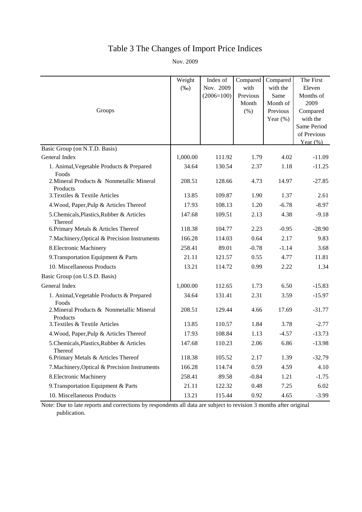## Table 3 The Changes of Import Price Indices

Nov. 2009

|                                                       | Weight<br>$(\%0)$ | Index of<br>Nov. 2009 | Compared<br>with          | Compared<br>with the                        | The First<br>Eleven                                                                    |
|-------------------------------------------------------|-------------------|-----------------------|---------------------------|---------------------------------------------|----------------------------------------------------------------------------------------|
| Groups                                                |                   | $(2006=100)$          | Previous<br>Month<br>(% ) | Same<br>Month of<br>Previous<br>Year $(\%)$ | Months of<br>2009<br>Compared<br>with the<br>Same Period<br>of Previous<br>Year $(\%)$ |
| Basic Group (on N.T.D. Basis)                         |                   |                       |                           |                                             |                                                                                        |
| General Index                                         | 1,000.00          | 111.92                | 1.79                      | 4.02                                        | $-11.09$                                                                               |
| 1. Animal, Vegetable Products & Prepared<br>Foods     | 34.64             | 130.54                | 2.37                      | 1.18                                        | $-11.25$                                                                               |
| 2. Mineral Products & Nonmetallic Mineral<br>Products | 208.51            | 128.66                | 4.73                      | 14.97                                       | $-27.85$                                                                               |
| 3. Textiles & Textile Articles                        | 13.85             | 109.87                | 1.90                      | 1.37                                        | 2.61                                                                                   |
| 4. Wood, Paper, Pulp & Articles Thereof               | 17.93             | 108.13                | 1.20                      | $-6.78$                                     | $-8.97$                                                                                |
| 5.Chemicals, Plastics, Rubber & Articles<br>Thereof   | 147.68            | 109.51                | 2.13                      | 4.38                                        | $-9.18$                                                                                |
| 6. Primary Metals & Articles Thereof                  | 118.38            | 104.77                | 2.23                      | $-0.95$                                     | $-28.90$                                                                               |
| 7. Machinery, Optical & Precision Instruments         | 166.28            | 114.03                | 0.64                      | 2.17                                        | 9.83                                                                                   |
| 8. Electronic Machinery                               | 258.41            | 89.01                 | $-0.78$                   | $-1.14$                                     | 3.68                                                                                   |
| 9. Transportation Equipment & Parts                   | 21.11             | 121.57                | 0.55                      | 4.77                                        | 11.81                                                                                  |
| 10. Miscellaneous Products                            | 13.21             | 114.72                | 0.99                      | 2.22                                        | 1.34                                                                                   |
| Basic Group (on U.S.D. Basis)                         |                   |                       |                           |                                             |                                                                                        |
| General Index                                         | 1,000.00          | 112.65                | 1.73                      | 6.50                                        | $-15.83$                                                                               |
| 1. Animal, Vegetable Products & Prepared<br>Foods     | 34.64             | 131.41                | 2.31                      | 3.59                                        | $-15.97$                                                                               |
| 2. Mineral Products & Nonmetallic Mineral<br>Products | 208.51            | 129.44                | 4.66                      | 17.69                                       | $-31.77$                                                                               |
| 3. Textiles & Textile Articles                        | 13.85             | 110.57                | 1.84                      | 3.78                                        | $-2.77$                                                                                |
| 4. Wood, Paper, Pulp & Articles Thereof               | 17.93             | 108.84                | 1.13                      | $-4.57$                                     | $-13.73$                                                                               |
| 5.Chemicals, Plastics, Rubber & Articles<br>Thereof   | 147.68            | 110.23                | 2.06                      | 6.86                                        | $-13.98$                                                                               |
| 6. Primary Metals & Articles Thereof                  | 118.38            | 105.52                | 2.17                      | 1.39                                        | $-32.79$                                                                               |
| 7. Machinery, Optical & Precision Instruments         | 166.28            | 114.74                | 0.59                      | 4.59                                        | 4.10                                                                                   |
| 8. Electronic Machinery                               | 258.41            | 89.58                 | $-0.84$                   | 1.21                                        | $-1.75$                                                                                |
| 9. Transportation Equipment & Parts                   | 21.11             | 122.32                | 0.48                      | 7.25                                        | 6.02                                                                                   |
| 10. Miscellaneous Products                            | 13.21             | 115.44                | 0.92                      | 4.65                                        | $-3.99$                                                                                |

Note: Due to late reports and corrections by respondents all data are subject to revision 3 months after original publication.